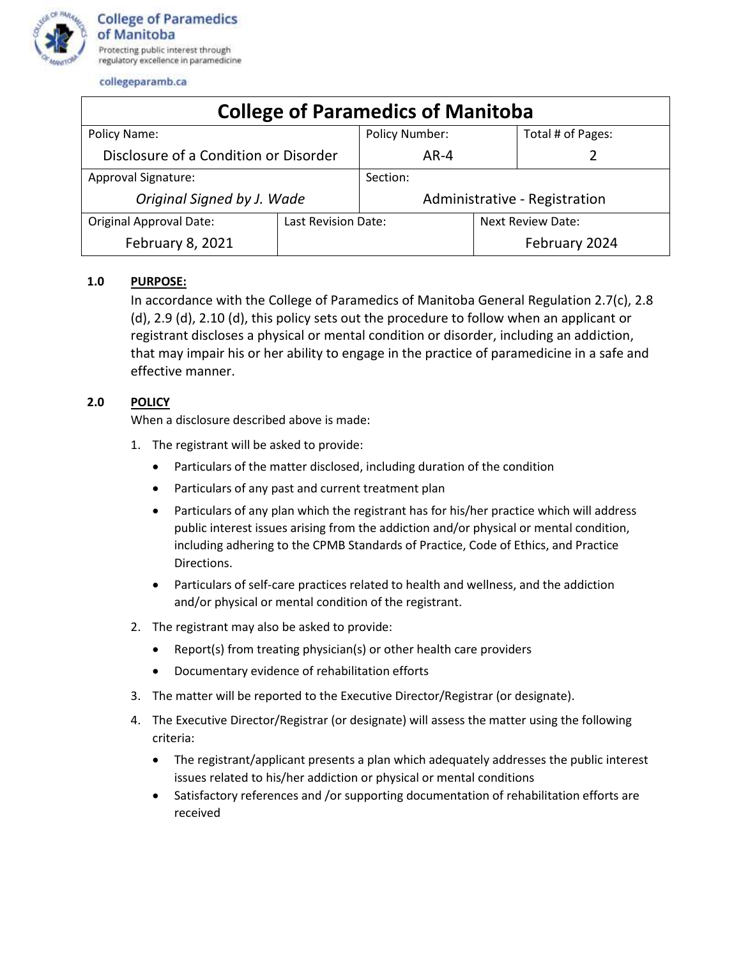

collegeparamb.ca

| <b>College of Paramedics of Manitoba</b> |                     |                               |                          |                   |
|------------------------------------------|---------------------|-------------------------------|--------------------------|-------------------|
| Policy Name:                             |                     | <b>Policy Number:</b>         |                          | Total # of Pages: |
| Disclosure of a Condition or Disorder    |                     | $AR-4$                        |                          |                   |
| Approval Signature:                      |                     | Section:                      |                          |                   |
| Original Signed by J. Wade               |                     | Administrative - Registration |                          |                   |
| <b>Original Approval Date:</b>           | Last Revision Date: |                               | <b>Next Review Date:</b> |                   |
| February 8, 2021                         |                     |                               |                          | February 2024     |

## **1.0 PURPOSE:**

In accordance with the College of Paramedics of Manitoba General Regulation 2.7(c), 2.8 (d), 2.9 (d), 2.10 (d), this policy sets out the procedure to follow when an applicant or registrant discloses a physical or mental condition or disorder, including an addiction, that may impair his or her ability to engage in the practice of paramedicine in a safe and effective manner.

## **2.0 POLICY**

When a disclosure described above is made:

- 1. The registrant will be asked to provide:
	- Particulars of the matter disclosed, including duration of the condition
	- Particulars of any past and current treatment plan
	- Particulars of any plan which the registrant has for his/her practice which will address public interest issues arising from the addiction and/or physical or mental condition, including adhering to the CPMB Standards of Practice, Code of Ethics, and Practice Directions.
	- Particulars of self-care practices related to health and wellness, and the addiction and/or physical or mental condition of the registrant.
- 2. The registrant may also be asked to provide:
	- Report(s) from treating physician(s) or other health care providers
	- Documentary evidence of rehabilitation efforts
- 3. The matter will be reported to the Executive Director/Registrar (or designate).
- 4. The Executive Director/Registrar (or designate) will assess the matter using the following criteria:
	- The registrant/applicant presents a plan which adequately addresses the public interest issues related to his/her addiction or physical or mental conditions
	- Satisfactory references and /or supporting documentation of rehabilitation efforts are received